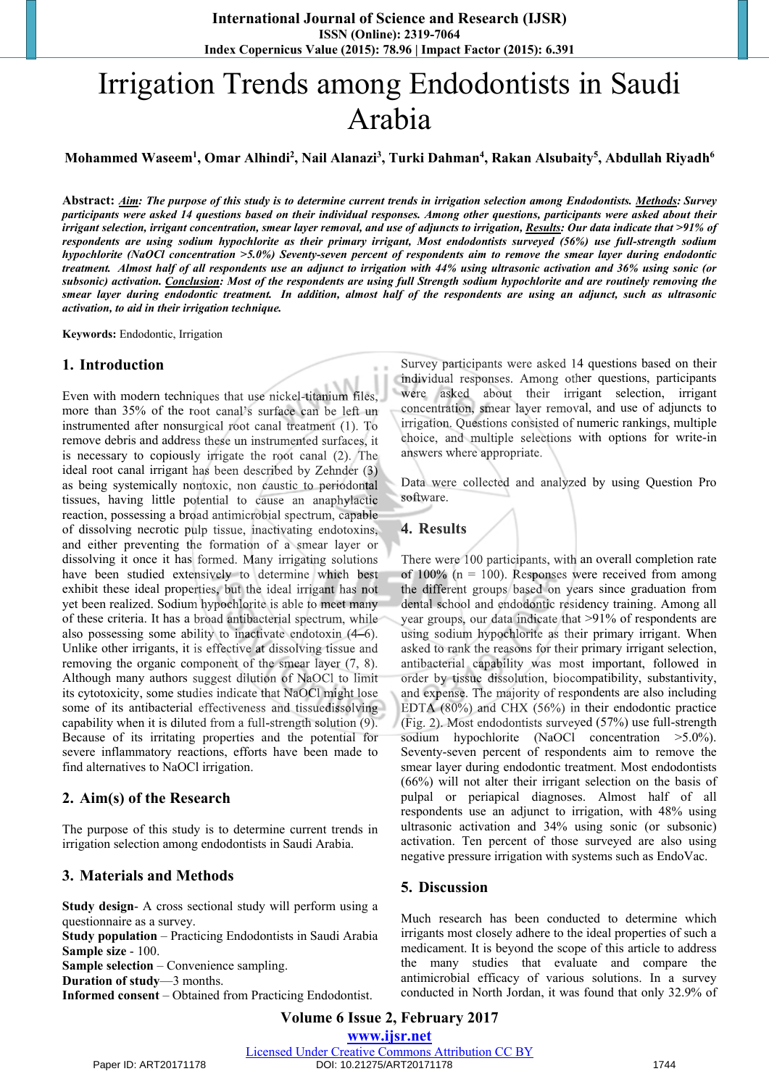# Irrigation Trends among Endodontists in Saudi Arabia

**Mohammed Waseem1 , Omar Alhindi2 , Nail Alanazi3 , Turki Dahman4 , Rakan Alsubaity5 , Abdullah Riyadh6**

**Abstract:** *Aim: The purpose of this study is to determine current trends in irrigation selection among Endodontists. Methods: Survey participants were asked 14 questions based on their individual responses. Among other questions, participants were asked about their irrigant selection, irrigant concentration, smear layer removal, and use of adjuncts to irrigation, Results: Our data indicate that >91% of respondents are using sodium hypochlorite as their primary irrigant, Most endodontists surveyed (56%) use full-strength sodium hypochlorite (NaOCl concentration >5.0%) Seventy-seven percent of respondents aim to remove the smear layer during endodontic treatment. Almost half of all respondents use an adjunct to irrigation with 44% using ultrasonic activation and 36% using sonic (or subsonic) activation. Conclusion: Most of the respondents are using full Strength sodium hypochlorite and are routinely removing the smear layer during endodontic treatment. In addition, almost half of the respondents are using an adjunct, such as ultrasonic activation, to aid in their irrigation technique.* 

**Keywords:** Endodontic, Irrigation

#### **1. Introduction**

Even with modern techniques that use nickel-titanium files, more than 35% of the root canal's surface can be left un instrumented after nonsurgical root canal treatment (1). To remove debris and address these un instrumented surfaces, it is necessary to copiously irrigate the root canal (2). The ideal root canal irrigant has been described by Zehnder (3) as being systemically nontoxic, non caustic to periodontal tissues, having little potential to cause an anaphylactic reaction, possessing a broad antimicrobial spectrum, capable of dissolving necrotic pulp tissue, inactivating endotoxins,<br>and either preventing the formation of a smear layer or<br>dissolving it once it has formed. Many irrigating solutions<br>have been studied extensively to determine wh and either preventing the formation of a smear layer or dissolving it once it has formed. Many irrigating solutions have been studied extensively to determine which best exhibit these ideal properties, but the ideal irrigant has not yet been realized. Sodium hypochlorite is able to meet many of these criteria. It has a broad antibacterial spectrum, while also possessing some ability to inactivate endotoxin (4–6). Unlike other irrigants, it is effective at dissolving tissue and removing the organic component of the smear layer (7, 8). Although many authors suggest dilution of NaOCl to limit its cytotoxicity, some studies indicate that NaOCl might lose some of its antibacterial effectiveness and tissuedissolving capability when it is diluted from a full-strength solution (9). Because of its irritating properties and the potential for severe inflammatory reactions, efforts have been made to find alternatives to NaOCl irrigation.

#### **2. Aim(s) of the Research**

The purpose of this study is to determine current trends in irrigation selection among endodontists in Saudi Arabia.

#### **3. Materials and Methods**

**Study design**- A cross sectional study will perform using a questionnaire as a survey.

**Study population** – Practicing Endodontists in Saudi Arabia **Sample size** - 100.

**Sample selection** – Convenience sampling.

**Duration of study**—3 months.

**Informed consent** – Obtained from Practicing Endodontist.

Survey participants were asked 14 questions based on their individual responses. Among other questions, participants were asked about their irrigant selection, irrigant concentration, smear layer removal, and use of adjuncts to irrigation. Questions consisted of numeric rankings, multiple choice, and multiple selections with options for write-in answers where appropriate.

Data were collected and analyzed by using Question Pro software.

#### **4. Results**

There were 100 participants, with an overall completion rate of  $100\%$  (n = 100). Responses were received from among the different groups based on years since graduation from dental school and endodontic residency training. Among all year groups, our data indicate that >91% of respondents are using sodium hypochlorite as their primary irrigant. When asked to rank the reasons for their primary irrigant selection, antibacterial capability was most important, followed in order by tissue dissolution, biocompatibility, substantivity, and expense. The majority of respondents are also including EDTA (80%) and CHX (56%) in their endodontic practice (Fig. 2). Most endodontists surveyed (57%) use full-strength sodium hypochlorite (NaOCl concentration >5.0%). Seventy-seven percent of respondents aim to remove the smear layer during endodontic treatment. Most endodontists (66%) will not alter their irrigant selection on the basis of pulpal or periapical diagnoses. Almost half of all respondents use an adjunct to irrigation, with 48% using ultrasonic activation and 34% using sonic (or subsonic) activation. Ten percent of those surveyed are also using negative pressure irrigation with systems such as EndoVac.

#### **5. Discussion**

Much research has been conducted to determine which irrigants most closely adhere to the ideal properties of such a medicament. It is beyond the scope of this article to address the many studies that evaluate and compare the antimicrobial efficacy of various solutions. In a survey conducted in North Jordan, it was found that only 32.9% of

**Volume 6 Issue 2, February 2017 [www.ijsr.net](file:///D:/IJSR%20Website/www.ijsr.net)**

[Licensed Under Creative Commons Attribution CC BY](http://creativecommons.org/licenses/by/4.0/)